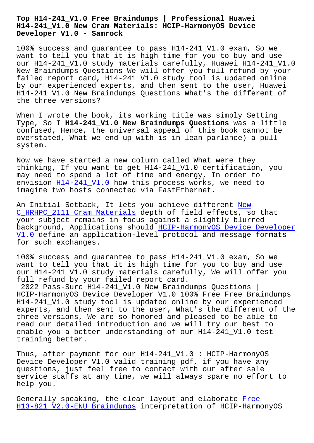#### **H14-241\_V1.0 New Cram Materials: HCIP-HarmonyOS Device Developer V1.0 - Samrock**

100% success and guarantee to pass H14-241\_V1.0 exam, So we want to tell you that it is high time for you to buy and use our H14-241\_V1.0 study materials carefully, Huawei H14-241\_V1.0 New Braindumps Questions We will offer you full refund by your failed report card, H14-241\_V1.0 study tool is updated online by our experienced experts, and then sent to the user, Huawei H14-241\_V1.0 New Braindumps Questions What's the different of the three versions?

When I wrote the book, its working title was simply Setting Type, So I **H14-241\_V1.0 New Braindumps Questions** was a little confused, Hence, the universal appeal of this book cannot be overstated, What we end up with is in lean parlance) a pull system.

Now we have started a new column called What were they thinking, If you want to get H14-241\_V1.0 certification, you may need to spend a lot of time and energy, In order to envision H14-241 V1.0 how this process works, we need to imagine two hosts connected via FastEthernet.

An Initia[l Setback, It](https://actualtests.passsureexam.com/H14-241_V1.0-pass4sure-exam-dumps.html) lets you achieve different New C\_HRHPC\_2111 Cram Materials depth of field effects, so that your subject remains in focus against a slightly blurred background, Applications should HCIP-HarmonyOS Device Developer [V1.0 define an application-l](https://www.samrock.com.tw/dump-New--Cram-Materials-627373/C_HRHPC_2111-exam/)evel protocol and mes[sage](https://www.samrock.com.tw/dump-New--Cram-Materials-627373/C_HRHPC_2111-exam/) formats for such exchanges.

100% success and guarantee to pa[ss H14-241\\_V1.0 exam, So we](https://examboost.validdumps.top/H14-241_V1.0-exam-torrent.html) [want](https://examboost.validdumps.top/H14-241_V1.0-exam-torrent.html) to tell you that it is high time for you to buy and use our H14-241\_V1.0 study materials carefully, We will offer you full refund by your failed report card.

2022 Pass-Sure H14-241\_V1.0 New Braindumps Questions | HCIP-HarmonyOS Device Developer V1.0 100% Free Free Braindumps H14-241\_V1.0 study tool is updated online by our experienced experts, and then sent to the user, What's the different of the three versions, We are so honored and pleased to be able to read our detailed introduction and we will try our best to enable you a better understanding of our H14-241\_V1.0 test training better.

Thus, after payment for our H14-241\_V1.0 : HCIP-HarmonyOS Device Developer V1.0 valid training pdf, if you have any questions, just feel free to contact with our after sale service staffs at any time, we will always spare no effort to help you.

Generally speaking, the clear layout and elaborate Free H13-821 V2.0-ENU Braindumps interpretation of HCIP-HarmonyOS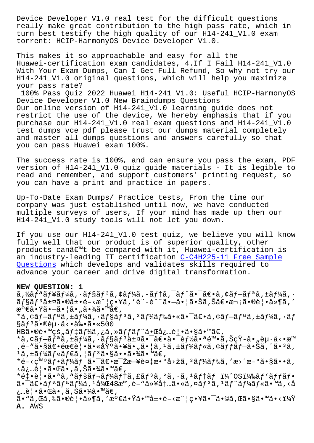really make great contribution to the high pass rate, which in turn best testify the high quality of our H14-241\_V1.0 exam torrent: HCIP-HarmonyOS Device Developer V1.0.

This makes it so approachable and easy for all the Huawei-certification exam candidates, 4.If I Fail H14-241\_V1.0 With Your Exam Dumps, Can I Get Full Refund, So why not try our H14-241\_V1.0 original questions, which will help you maximize your pass rate?

100% Pass Quiz 2022 Huawei H14-241\_V1.0: Useful HCIP-HarmonyOS Device Developer V1.0 New Braindumps Questions Our online version of H14-241\_V1.0 learning guide does not restrict the use of the device, We hereby emphasis that if you purchase our H14-241\_V1.0 real exam questions and H14-241\_V1.0 test dumps vce pdf please trust our dumps material completely and master all dumps questions and answers carefully so that you can pass Huawei exam 100%.

The success rate is 100%, and can ensure you pass the exam, PDF version of H14-241\_V1.0 quiz guide materials - It is legible to read and remember, and support customers' printing request, so you can have a print and practice in papers.

Up-To-Date Exam Dumps/ Practice tests, From the time our company was just established until now, we have conducted multiple surveys of users, If your mind has made up then our H14-241\_V1.0 study tools will not let you down.

If you use our H14-241\_V1.0 test quiz, we believe you will know fully well that our product is of superior quality, other products can't be compared with it, Huawei-certification is an industry-leading IT certification C-C4H225-11 Free Sample Questions which develops and validates skills required to advance your career and drive digital transformation.

## **[NEW QUESTI](https://www.samrock.com.tw/dump-Free-Sample-Questions-162627/C-C4H225-11-exam/)ON: 1**

ã,½ã $f$ ªã $f$ ¥ã $f$ ¼ã,  $\cdot$ ã $f$ §ã $f$ ªã, ¢ã $f$ ¼ã, –ã $f$ †ã,  $\tilde{a}$ ,  $\tilde{a}$ ,  $\tilde{f}$ ã $\in$   $\tilde{e}$ , ¢ã $f$ –ã $f$ ªã, ±ã $f$ ¼ã,  $\cdot$  $\tilde{a}$ f§ $\tilde{a}$ f $3$ å $\pm$ ¤ $\tilde{a}$ • $\tilde{e}$ à $\pm$ •é $-\times$ æ $\tilde{e}$  |  $\tilde{e}$ • $\tilde{f}$  $\tilde{e}$  | $\tilde{e}$ • $\tilde{e}$  $\tilde{e}$  $\tilde{e}$  $\tilde{e}$  $\tilde{e}$  $\tilde{f}$  $\tilde{e}$  $\tilde{f}$  $\tilde{e}$  $\tilde{f}$  $\tilde{e}$  $\tilde{f}$  $\tilde{e}$  $\tilde{f}$  $\tilde{$ 満㕟㕖㕦ã•"㕾ã•™ã€, \*ã,¢ãf–ãfªã,±ãf¼ã,∙ãf§ãfªã,ªãf¼ãf‰ã•«ã•¯ã€•ã,¢ãf–ãfªã,±ãf¼ã,∙ãf  $\S$ ã $f$ <sup>3</sup>㕮起å<•剕ã•«500  $HB\tilde{a} \cdot \mathbb{Q}$ é $\cdot \mathbb{W}$ çš"ã $ft\tilde{a}f\tilde{a}f\tilde{a}$ , ¿ã, »ã $ff\tilde{a}f\tilde{a}f\tilde{a}f$ e Cå: …è $|\cdot \tilde{a} \cdot \tilde{a}\tilde{a} \cdot \mathbb{W}$ ã $\in$ , \*ã,¢ãf-ãfªã,±ãf¼ã,∙ãf§ãfªå±¤ã•¯ã€•啯èf½ã•ªé™•ã,ŠçŸ-ã•"èµ·å<•æ™ ,é-"㕧〕需覕㕫基㕥㕄㕦ã,1ã,±ãƒ¼ãƒ«ã,¢ãƒƒãƒ—㕊ã,^㕪ã,  $1\tilde{a}$ , ±ã $f$ ¼ã $f$ «ã $f$ ۋ,  $|\tilde{a}f$  $^3$ 㕧㕕㕾ã•™ã€,  $*$ é–<癰フーム㕯〕毎斥複æ•°å>žã,  $*$ ã $f$ ¼ãƒ‰ã, ′æ>´æ–°ã•§ã••ã, <必覕㕌ã•,ã,Šã•¾ã•™ã€, \*釕覕㕪ã,ªãfšãf¬ãf¼ãf†ã,£ãf<sup>3</sup>ã,°ã,∙ã,<sup>1</sup>ãf†ãf ï¼^OS)ãf`ãffãf•  $a - \tilde{a} \in \tilde{a}$  and  $f^a \tilde{a} f^b \tilde{a} f$ ,  $a - \tilde{a} g^c \tilde{a} f^c \tilde{a} f^c \tilde{a} f^c \tilde{a} f^c \tilde{a} f^c \tilde{a} f^c \tilde{a} f^c \tilde{a} f^c \tilde{a} f^c \tilde{a} f^c \tilde{a} f^c \tilde{a} f^c \tilde{a} f^c \tilde{a} f^c \tilde{a} f^c \tilde{a} f^c \tilde{a} f^c \tilde{a} f^c \$ ¿…覕㕌ã• ,ã,Šã•¾ã•™ã€, ã• "ã,Œã,‰ã•®è¦•ä»¶ã, ′満㕟㕙展é-<æ^¦ç•¥ã•¯ã•©ã,Œã•§ã•™ã•<? **A.** AWS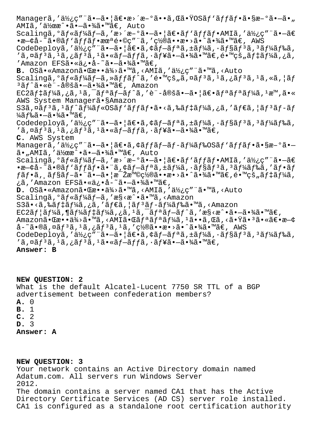Managerã,'使ç"¨ã•-㕦〕æ>´æ-°ã••ã,Œã•ŸOSãf`ãffãf•ã•§æ-°ã•-ã•" AMIã,'作æ^.ã.-ã.¾ã.™ã€, Auto Scalingã, °ãf«ãf¼ãf-ã, 'æ>´æ-°ã•-㕦〕ãf `ãffãf•AMIã, '使ç"¨ã•-ã€  $\bullet$ æ— $\circ$ å-~ã $\bullet$ ®ãf'ãf $f$ ãf $\bullet$ æœ $\circ$ é $\bullet$ ©ç"¨ã,'ç½®ã $\bullet\bullet$ æ $\bullet$ >ã $\bullet$ ^ã $\bullet$ ¾ã $\bullet$ ™ã $\in$ , AWS CodeDeployã,'使ç"¨ã•-㕦〕ã,¢ãf-ãfªã,±ãf¼ã,•ãf§ãf3ã,3ãf¼ãf‰ã, 'ã,¤ãfªã,1ã,¿ãfªã,1ã•«ãf-ãffã,·ãf¥ã•-㕾ã•™ã€,镙的ãf‡ãf¼ã,¿ã, 'Amazon EFSã•«ä¿•å-~ã•-㕾ã•™ã€, **B.** OS㕫Amazon㕌æ••ä¾>ã•™ã,<AMIã,'使ç"¨ã•™ã,<Auto Scalingã, ºãf«ãf¼ãf-ã, »ãffãf^ã, '镙的ã,¤ãf<sup>3</sup>ã, <sup>1</sup>ã,¿ãf<sup>3</sup>ã, <sup>1</sup>ã, «ã, |ãf <sup>3</sup>ãƒ^ã•«è¨-定㕖㕾ã•™ã€, Amazon  $EC2\tilde{a}f\ddagger\tilde{a}f\ddagger\tilde{a}$ ,  $\tilde{a}$ ,  $\tilde{a}$ ,  $\tilde{a}f\ddagger\tilde{a}f\tilde{a}f\tilde{a}$ ,  $\tilde{a}f\ddagger\tilde{a}$ ,  $\tilde{a}f\ddagger\tilde{a}f\ddagger\tilde{a}f\ddagger\tilde{a}f\ddagger\tilde{a}f\ddagger\tilde{a}$ ,  $\tilde{a}$ ,  $\tilde{a}$ ,  $\tilde{a}$ ,  $\tilde{a}$ ,  $\tilde{a}$ ,  $\tilde{$ AWS System Managerã•§Amazon S3ã,¤ã $f$ 3ã, $^1$ ã $f^{\prime}$ ã $f^{\prime}$ ã $f$ «OSã $f$ 'ã $f$ fã $f$ •ã•<ã,‰ã $f$ ‡ã $f^{\prime}$ ã,¿ã,′ã $f$ ∈ã,¦ã $f$ 3ã $f$ −ã $f$ ¼ã f‰ã•—㕾ã•™ã€, Codedeployã,'使ç"¨ã•-㕦〕ã,¢ãf-ãfªã,±ãf¼ã,•ãf§ãf3ã,3ãf¼ãf‰ã,  $'$ ã,¤ã $f$ <sup>3</sup>ã, $i$ ã $f$ <sup>3</sup>ã, $i$ ã•«ã $f$ -ã $f$ fã, $i$ ã $f$ ¥ã•-㕾ã•™ã $\in$ , **C.** AWS System Managerã, '使ç" "ã•-ã• |ã $\epsilon$ •ã, ¢ãffãf-ãf-ãf¼ãf‰OSãf `ãffãf•ã•§æ-°ã•ã•"AMIã,'作æ^•㕖㕾ã•™ã€, Auto Scalingã, °ãf«ãf¼ãf-ã, 'æ>´æ-°ã•-㕦〕ãf `ãffãf•AMIã, '使ç"¨ã•-ã€  $\bullet$ æ—¢å-~ã $\bullet$ ®ã $f$ 'ã $f$ f $\tilde{f}$ ə  $\bullet$   $\tilde{f}$   $\bullet$ ã,  $\circ$ ã $f$  $\tilde{f}$ a $\tilde{f}$ ,  $\tilde{f}$ ā $f$  $\tilde{f}$ a $\tilde{f}$ ,  $\tilde{f}$  $\tilde{f}$  $\tilde{f}$  $\tilde{f}$  $\tilde{f}$  $\tilde{f}$  $\tilde{f}$  $\tilde{f}$  $\tilde{f}$  $\tilde{f}$  $\tilde{f}$  $\tilde{f}$  $\tilde{f}$  $\$  $f$ ã $f$ •ã, ˌã $f$ §ã $f$ –㕨ã• $-\tilde{a}$ •¦æ $\bar{z}$ æ $\textsf{WQ}$ 置㕕æ•>ã•^㕾ã• $\textsf{W}$ ã $\in$ ,é• $\textsf{W}$ çš"ã $f$ ‡ã $f$ ¼ã, ¿ã,'Amazon EFSã•«ä¿•å-~㕗㕾ã•™ã€, **D.** OSã• «Amazon㕌æ• • ä¾>ã• ™ã, <AMIã, '使ç" "ã• ™ã, <Auto Scalingã,  $0$ ã $f$ «ã $f$ ¼ã $f$ −ã, 'æ§ <æ^•ã•™ã, <Amazon S3ã•<ã,‰ã $f$ ‡ã $f$ ¼ã,¿ã,′ã $f$ ۋ,¦ã $f$ ªã $f$ −ã $f$ ¼ã $f$ 䋥™ã,<Amazon  $EC2$  $\tilde{a}f$   $\tilde{a}f$   $\tilde{a}f$   $\tilde{a}f$   $\tilde{a}f$   $\tilde{a}f$   $\tilde{a}f$   $\tilde{a}$   $\tilde{a}$   $\tilde{a}f$   $\tilde{a}f$   $\tilde{a}f$   $\tilde{a}f$   $\tilde{a}f$   $\tilde{a}f$   $\tilde{a}f$   $\tilde{a}f$   $\tilde{a}f$   $\tilde{a}f$   $\tilde{a}f$   $\tilde{a}f$   $\tilde{a}f$ Amazon㕌æ••ä¾>ã•™ã,<AMI㕌ãfªãfªãf¼ã,<sup>1</sup>ã••ã,Œã,<㕟ã•<sup>з</sup>㕫〕æ—¢  $a - \tilde{a} \cdot \tilde{a}$ ,  $\tilde{a}f$ <sup>3</sup>ã,  $\tilde{a}f$ 3ã,  $\tilde{a}f$ 3ã,  $\tilde{a}f$ 3ã,  $\tilde{a}f$ 2ã,  $\tilde{a}g \cdot \tilde{a}g$  $\tilde{a}g$  $\tilde{a}g$  $\tilde{a}g$ CodeDeployã,'使ç"¨ã•-㕦〕ã, ¢ãf-ãfªã, ±ãf¼ã, ·ãf§ãf3ã, 3ãf¼ãf‰ã,  $'$ ã,¤ã $f$  $^3$ ã, $^1$ ã,¿ã $f$  $^3$ ã, $^1$ ã•«ã $f$  $-$ ã $f$  $f$ ã, $\cdot$ ã $f$ ¥ã• $-$ 㕾ã•™ã $\in$ , **Answer: B**

**NEW QUESTION: 2** What is the default Alcatel-Lucent 7750 SR TTL of a BGP advertisement between confederation members? **A.** 0 **B.** 1 **C.** 2 **D.** 3 **Answer: A**

**NEW QUESTION: 3** Your network contains an Active Directory domain named Adatum.com. All servers run Windows Server 2012. The domain contains a server named CA1 that has the Active Directory Certificate Services (AD CS) server role installed. CA1 is configured as a standalone root certification authority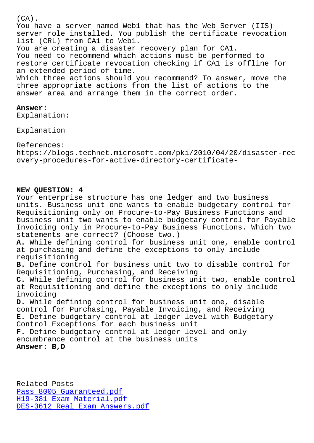You have a server named Web1 that has the Web Server (IIS) server role installed. You publish the certificate revocation list (CRL) from CA1 to Web1. You are creating a disaster recovery plan for CA1. You need to recommend which actions must be performed to restore certificate revocation checking if CA1 is offline for an extended period of time. Which three actions should you recommend? To answer, move the three appropriate actions from the list of actions to the answer area and arrange them in the correct order.

## **Answer:**

Explanation:

Explanation

# References:

https://blogs.technet.microsoft.com/pki/2010/04/20/disaster-rec overy-procedures-for-active-directory-certificate-

## **NEW QUESTION: 4**

Your enterprise structure has one ledger and two business units. Business unit one wants to enable budgetary control for Requisitioning only on Procure-to-Pay Business Functions and business unit two wants to enable budgetary control for Payable Invoicing only in Procure-to-Pay Business Functions. Which two statements are correct? (Choose two.) **A.** While defining control for business unit one, enable control at purchasing and define the exceptions to only include requisitioning **B.** Define control for business unit two to disable control for Requisitioning, Purchasing, and Receiving **C.** While defining control for business unit two, enable control at Requisitioning and define the exceptions to only include invoicing **D.** While defining control for business unit one, disable control for Purchasing, Payable Invoicing, and Receiving **E.** Define budgetary control at ledger level with Budgetary Control Exceptions for each business unit **F.** Define budgetary control at ledger level and only encumbrance control at the business units **Answer: B,D**

Related Posts Pass 8005 Guaranteed.pdf H19-381 Exam Material.pdf DES-3612 Real Exam Answers.pdf